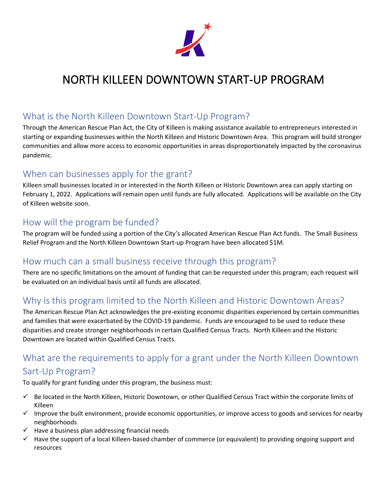

# NORTH KILLEEN DOWNTOWN START-UP PROGRAM

#### What is the North Killeen Downtown Start-Up Program?

Through the American Rescue Plan Act, the City of Killeen is making assistance available to entrepreneurs interested in starting or expanding businesses within the North Killeen and Historic Downtown Area. This program will build stronger communities and allow more access to economic opportunities in areas disproportionately impacted by the coronavirus pandemic.

#### When can businesses apply for the grant?

Killeen small businesses located in or interested in the North Killeen or Historic Downtown area can apply starting on February 1, 2022. Applications will remain open until funds are fully allocated. Applications will be available on the City of Killeen website soon.

#### How will the program be funded?

The program will be funded using a portion of the City's allocated American Rescue Plan Act funds. The Small Business Relief Program and the North Killeen Downtown Start-up Program have been allocated \$1M.

#### How much can a small business receive through this program?

There are no specific limitations on the amount of funding that can be requested under this program; each request will be evaluated on an individual basis until all funds are allocated.

## Why is this program limited to the North Killeen and Historic Downtown Areas?

The American Rescue Plan Act acknowledges the pre-existing economic disparities experienced by certain communities and families that were exacerbated by the COVID-19 pandemic. Funds are encouraged to be used to reduce these disparities and create stronger neighborhoods in certain Qualified Census Tracts. North Killeen and the Historic Downtown are located within Qualified Census Tracts.

# What are the requirements to apply for a grant under the North Killeen Downtown Sart-Up Program?

To qualify for grant funding under this program, the business must:

- $\checkmark$  Be located in the North Killeen, Historic Downtown, or other Qualified Census Tract within the corporate limits of Killeen
- $\checkmark$  Improve the built environment, provide economic opportunities, or improve access to goods and services for nearby neighborhoods
- $\checkmark$  Have a business plan addressing financial needs
- $\checkmark$  Have the support of a local Killeen-based chamber of commerce (or equivalent) to providing ongoing support and resources